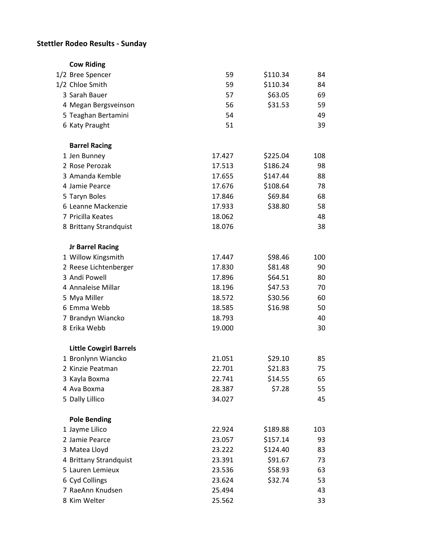## **Stettler Rodeo Results - Sunday**

| <b>Cow Riding</b>             |        |          |     |
|-------------------------------|--------|----------|-----|
| 1/2 Bree Spencer              | 59     | \$110.34 | 84  |
| 1/2 Chloe Smith               | 59     | \$110.34 | 84  |
| 3 Sarah Bauer                 | 57     | \$63.05  | 69  |
| 4 Megan Bergsveinson          | 56     | \$31.53  | 59  |
| 5 Teaghan Bertamini           | 54     |          | 49  |
| 6 Katy Praught                | 51     |          | 39  |
| <b>Barrel Racing</b>          |        |          |     |
| 1 Jen Bunney                  | 17.427 | \$225.04 | 108 |
| 2 Rose Perozak                | 17.513 | \$186.24 | 98  |
| 3 Amanda Kemble               | 17.655 | \$147.44 | 88  |
| 4 Jamie Pearce                | 17.676 | \$108.64 | 78  |
| 5 Taryn Boles                 | 17.846 | \$69.84  | 68  |
| 6 Leanne Mackenzie            | 17.933 | \$38.80  | 58  |
| 7 Pricilla Keates             | 18.062 |          | 48  |
| 8 Brittany Strandquist        | 18.076 |          | 38  |
| <b>Jr Barrel Racing</b>       |        |          |     |
| 1 Willow Kingsmith            | 17.447 | \$98.46  | 100 |
| 2 Reese Lichtenberger         | 17.830 | \$81.48  | 90  |
| 3 Andi Powell                 | 17.896 | \$64.51  | 80  |
| 4 Annaleise Millar            | 18.196 | \$47.53  | 70  |
| 5 Mya Miller                  | 18.572 | \$30.56  | 60  |
| 6 Emma Webb                   | 18.585 | \$16.98  | 50  |
| 7 Brandyn Wiancko             | 18.793 |          | 40  |
| 8 Erika Webb                  | 19.000 |          | 30  |
| <b>Little Cowgirl Barrels</b> |        |          |     |
| 1 Bronlynn Wiancko            | 21.051 | \$29.10  | 85  |
| 2 Kinzie Peatman              | 22.701 | \$21.83  | 75  |
| 3 Kayla Boxma                 | 22.741 | \$14.55  | 65  |
| 4 Ava Boxma                   | 28.387 | \$7.28   | 55  |
| 5 Dally Lillico               | 34.027 |          | 45  |
| <b>Pole Bending</b>           |        |          |     |
| 1 Jayme Lilico                | 22.924 | \$189.88 | 103 |
| 2 Jamie Pearce                | 23.057 | \$157.14 | 93  |
| 3 Matea Lloyd                 | 23.222 | \$124.40 | 83  |
| 4 Brittany Strandquist        | 23.391 | \$91.67  | 73  |
| 5 Lauren Lemieux              | 23.536 | \$58.93  | 63  |
| 6 Cyd Collings                | 23.624 | \$32.74  | 53  |
| 7 RaeAnn Knudsen              | 25.494 |          | 43  |
| 8 Kim Welter                  | 25.562 |          | 33  |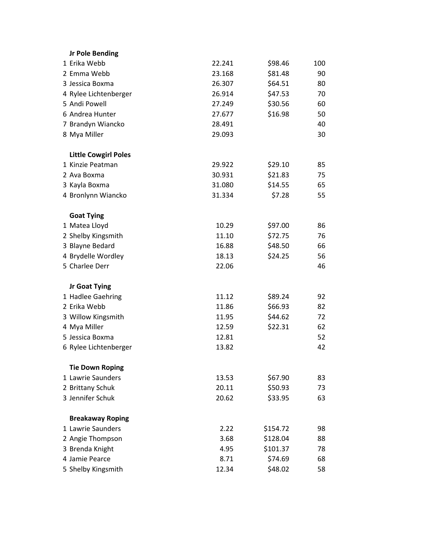| <b>Jr Pole Bending</b>      |        |          |     |
|-----------------------------|--------|----------|-----|
| 1 Erika Webb                | 22.241 | \$98.46  | 100 |
| 2 Emma Webb                 | 23.168 | \$81.48  | 90  |
| 3 Jessica Boxma             | 26.307 | \$64.51  | 80  |
| 4 Rylee Lichtenberger       | 26.914 | \$47.53  | 70  |
| 5 Andi Powell               | 27.249 | \$30.56  | 60  |
| 6 Andrea Hunter             | 27.677 | \$16.98  | 50  |
| 7 Brandyn Wiancko           | 28.491 |          | 40  |
| 8 Mya Miller                | 29.093 |          | 30  |
| <b>Little Cowgirl Poles</b> |        |          |     |
| 1 Kinzie Peatman            | 29.922 | \$29.10  | 85  |
| 2 Ava Boxma                 | 30.931 | \$21.83  | 75  |
| 3 Kayla Boxma               | 31.080 | \$14.55  | 65  |
| 4 Bronlynn Wiancko          | 31.334 | \$7.28   | 55  |
| <b>Goat Tying</b>           |        |          |     |
| 1 Matea Lloyd               | 10.29  | \$97.00  | 86  |
| 2 Shelby Kingsmith          | 11.10  | \$72.75  | 76  |
| 3 Blayne Bedard             | 16.88  | \$48.50  | 66  |
| 4 Brydelle Wordley          | 18.13  | \$24.25  | 56  |
| 5 Charlee Derr              | 22.06  |          | 46  |
| Jr Goat Tying               |        |          |     |
| 1 Hadlee Gaehring           | 11.12  | \$89.24  | 92  |
| 2 Erika Webb                | 11.86  | \$66.93  | 82  |
| 3 Willow Kingsmith          | 11.95  | \$44.62  | 72  |
| 4 Mya Miller                | 12.59  | \$22.31  | 62  |
| 5 Jessica Boxma             | 12.81  |          | 52  |
| 6 Rylee Lichtenberger       | 13.82  |          | 42  |
| <b>Tie Down Roping</b>      |        |          |     |
| 1 Lawrie Saunders           | 13.53  | \$67.90  | 83  |
| 2 Brittany Schuk            | 20.11  | \$50.93  | 73  |
| 3 Jennifer Schuk            | 20.62  | \$33.95  | 63  |
| <b>Breakaway Roping</b>     |        |          |     |
| 1 Lawrie Saunders           | 2.22   | \$154.72 | 98  |
| 2 Angie Thompson            | 3.68   | \$128.04 | 88  |
| 3 Brenda Knight             | 4.95   | \$101.37 | 78  |
| 4 Jamie Pearce              | 8.71   | \$74.69  | 68  |
| 5 Shelby Kingsmith          | 12.34  | \$48.02  | 58  |